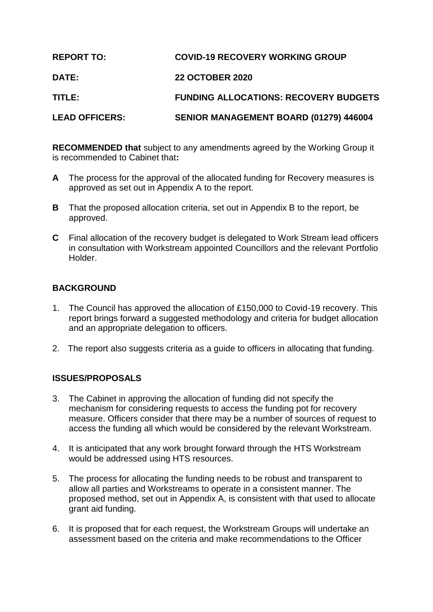| <b>REPORT TO:</b>     | <b>COVID-19 RECOVERY WORKING GROUP</b>       |
|-----------------------|----------------------------------------------|
| <b>DATE:</b>          | <b>22 OCTOBER 2020</b>                       |
| <b>TITLE:</b>         | <b>FUNDING ALLOCATIONS: RECOVERY BUDGETS</b> |
| <b>LEAD OFFICERS:</b> | SENIOR MANAGEMENT BOARD (01279) 446004       |

**RECOMMENDED that** subject to any amendments agreed by the Working Group it is recommended to Cabinet that**:**

- **A** The process for the approval of the allocated funding for Recovery measures is approved as set out in Appendix A to the report.
- **B** That the proposed allocation criteria, set out in Appendix B to the report, be approved.
- **C** Final allocation of the recovery budget is delegated to Work Stream lead officers in consultation with Workstream appointed Councillors and the relevant Portfolio Holder.

# **BACKGROUND**

- 1. The Council has approved the allocation of £150,000 to Covid-19 recovery. This report brings forward a suggested methodology and criteria for budget allocation and an appropriate delegation to officers.
- 2. The report also suggests criteria as a guide to officers in allocating that funding.

# **ISSUES/PROPOSALS**

- 3. The Cabinet in approving the allocation of funding did not specify the mechanism for considering requests to access the funding pot for recovery measure. Officers consider that there may be a number of sources of request to access the funding all which would be considered by the relevant Workstream.
- 4. It is anticipated that any work brought forward through the HTS Workstream would be addressed using HTS resources.
- 5. The process for allocating the funding needs to be robust and transparent to allow all parties and Workstreams to operate in a consistent manner. The proposed method, set out in Appendix A, is consistent with that used to allocate grant aid funding.
- 6. It is proposed that for each request, the Workstream Groups will undertake an assessment based on the criteria and make recommendations to the Officer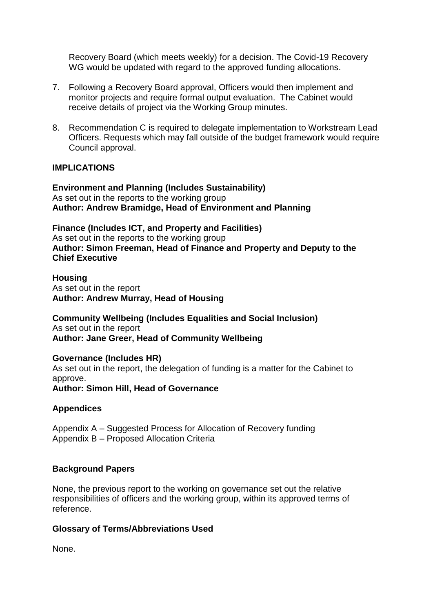Recovery Board (which meets weekly) for a decision. The Covid-19 Recovery WG would be updated with regard to the approved funding allocations.

- 7. Following a Recovery Board approval, Officers would then implement and monitor projects and require formal output evaluation. The Cabinet would receive details of project via the Working Group minutes.
- 8. Recommendation C is required to delegate implementation to Workstream Lead Officers. Requests which may fall outside of the budget framework would require Council approval.

#### **IMPLICATIONS**

**Environment and Planning (Includes Sustainability)** As set out in the reports to the working group **Author: Andrew Bramidge, Head of Environment and Planning**

**Finance (Includes ICT, and Property and Facilities)** As set out in the reports to the working group **Author: Simon Freeman, Head of Finance and Property and Deputy to the Chief Executive**

**Housing** As set out in the report **Author: Andrew Murray, Head of Housing**

**Community Wellbeing (Includes Equalities and Social Inclusion)** As set out in the report **Author: Jane Greer, Head of Community Wellbeing**

#### **Governance (Includes HR)**

As set out in the report, the delegation of funding is a matter for the Cabinet to approve.

**Author: Simon Hill, Head of Governance**

### **Appendices**

Appendix A – Suggested Process for Allocation of Recovery funding Appendix B – Proposed Allocation Criteria

### **Background Papers**

None, the previous report to the working on governance set out the relative responsibilities of officers and the working group, within its approved terms of reference.

### **Glossary of Terms/Abbreviations Used**

None.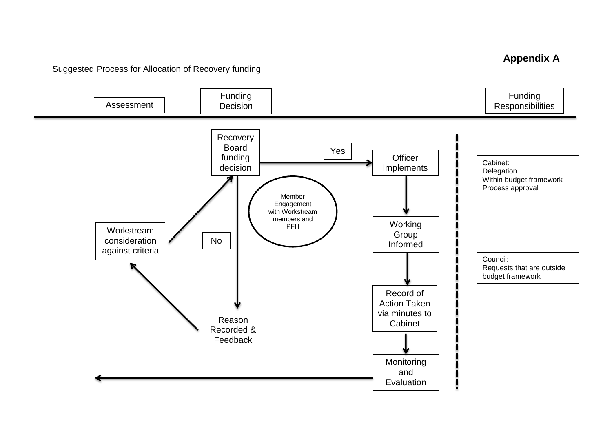**Appendix A**

Suggested Process for Allocation of Recovery funding